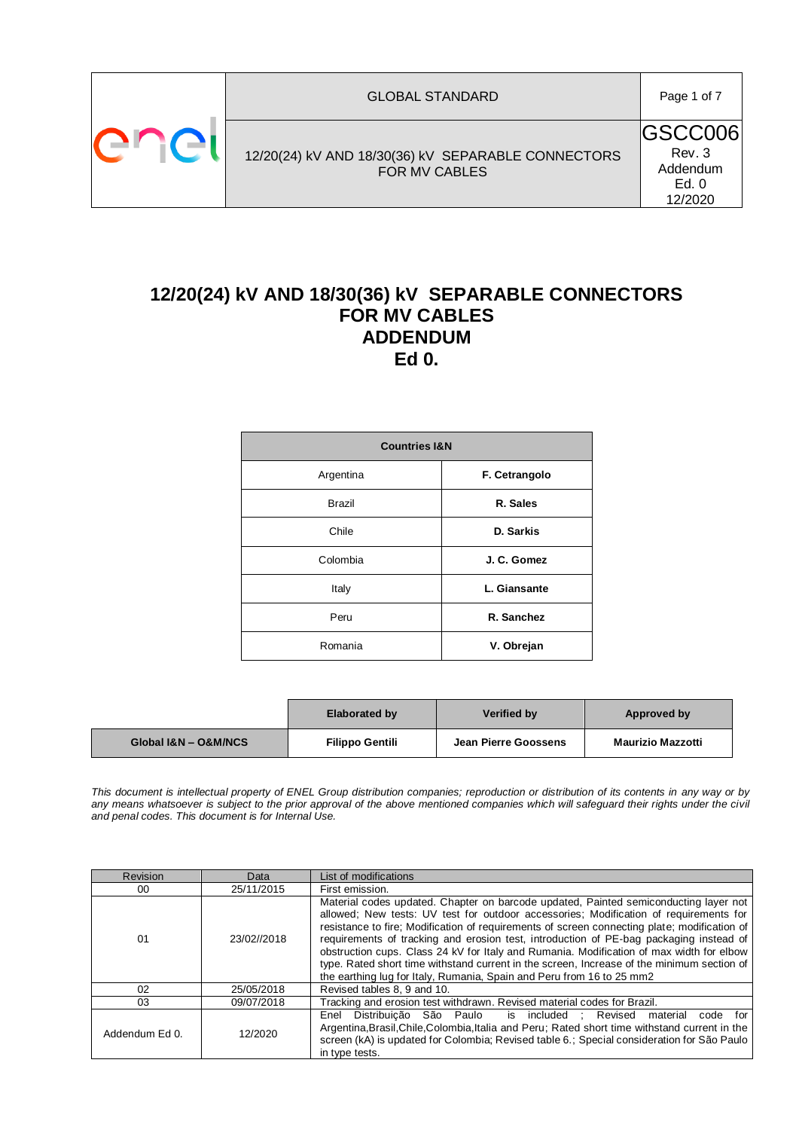

# **12/20(24) kV AND 18/30(36) kV SEPARABLE CONNECTORS FOR MV CABLES ADDENDUM Ed 0.**

| <b>Countries I&amp;N</b> |               |
|--------------------------|---------------|
| Argentina                | F. Cetrangolo |
| <b>Brazil</b>            | R. Sales      |
| Chile                    | D. Sarkis     |
| Colombia                 | J. C. Gomez   |
| Italy                    | L. Giansante  |
| Peru                     | R. Sanchez    |
| Romania                  | V. Obrejan    |

|                      | <b>Elaborated by</b>   | Verified by          | Approved by              |  |
|----------------------|------------------------|----------------------|--------------------------|--|
| Global I&N - O&M/NCS | <b>Filippo Gentili</b> | Jean Pierre Goossens | <b>Maurizio Mazzotti</b> |  |

*This document is intellectual property of ENEL Group distribution companies; reproduction or distribution of its contents in any way or by*  any means whatsoever is subject to the prior approval of the above mentioned companies which will safeguard their rights under the civil *and penal codes. This document is for Internal Use.*

| Revision       | Data        | List of modifications                                                                                                                                                                                                                                                                                                                                                                                                                                                                                                                                                                                                                      |
|----------------|-------------|--------------------------------------------------------------------------------------------------------------------------------------------------------------------------------------------------------------------------------------------------------------------------------------------------------------------------------------------------------------------------------------------------------------------------------------------------------------------------------------------------------------------------------------------------------------------------------------------------------------------------------------------|
| 00             | 25/11/2015  | First emission.                                                                                                                                                                                                                                                                                                                                                                                                                                                                                                                                                                                                                            |
| 01             | 23/02//2018 | Material codes updated. Chapter on barcode updated, Painted semiconducting layer not<br>allowed; New tests: UV test for outdoor accessories; Modification of requirements for<br>resistance to fire: Modification of requirements of screen connecting plate; modification of<br>requirements of tracking and erosion test, introduction of PE-bag packaging instead of<br>obstruction cups. Class 24 kV for Italy and Rumania. Modification of max width for elbow<br>type. Rated short time withstand current in the screen, Increase of the minimum section of<br>the earthing lug for Italy, Rumania, Spain and Peru from 16 to 25 mm2 |
| 02             | 25/05/2018  | Revised tables 8, 9 and 10.                                                                                                                                                                                                                                                                                                                                                                                                                                                                                                                                                                                                                |
| 03             | 09/07/2018  | Tracking and erosion test withdrawn. Revised material codes for Brazil.                                                                                                                                                                                                                                                                                                                                                                                                                                                                                                                                                                    |
| Addendum Ed 0. | 12/2020     | Distribuicão São Paulo<br>is included : Revised<br>material code for<br>Enel<br>Argentina, Brasil, Chile, Colombia, Italia and Peru; Rated short time withstand current in the<br>screen (kA) is updated for Colombia; Revised table 6.; Special consideration for São Paulo<br>in type tests.                                                                                                                                                                                                                                                                                                                                             |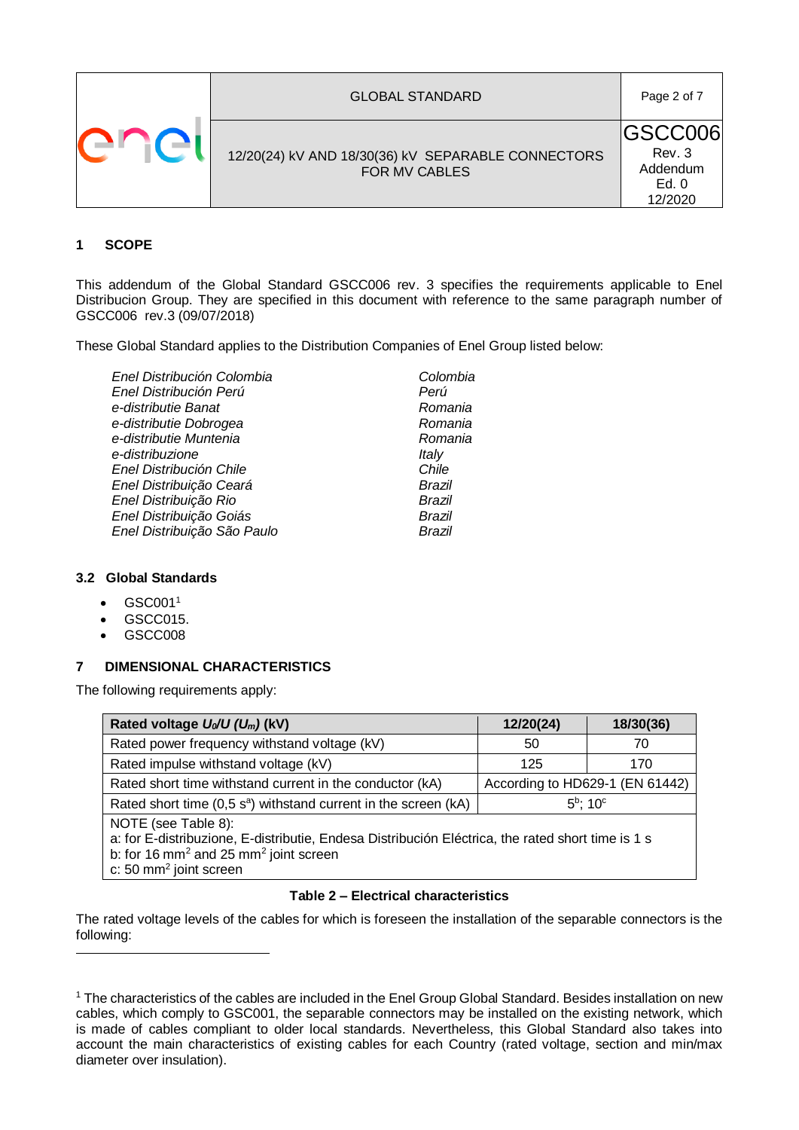| <b>GLOBAL STANDARD</b>                                                     | Page 2 of 7                                               |
|----------------------------------------------------------------------------|-----------------------------------------------------------|
| 12/20(24) kV AND 18/30(36) kV SEPARABLE CONNECTORS<br><b>FOR MV CABLES</b> | <b>IGSCC006</b><br>Rev. 3<br>Addendum<br>Ed. 0<br>12/2020 |

### **1 SCOPE**

This addendum of the Global Standard GSCC006 rev. 3 specifies the requirements applicable to Enel Distribucion Group. They are specified in this document with reference to the same paragraph number of GSCC006 rev.3 (09/07/2018)

These Global Standard applies to the Distribution Companies of Enel Group listed below:

| Enel Distribución Colombia  | Colombia |
|-----------------------------|----------|
| Enel Distribución Perú      | Perú     |
| e-distributie Banat         | Romania  |
| e-distributie Dobrogea      | Romania  |
| e-distributie Muntenia      | Romania  |
| e-distribuzione             | Italy    |
| Enel Distribución Chile     | Chile    |
| Enel Distribuição Ceará     | Brazil   |
| Enel Distribuição Rio       | Brazil   |
| Enel Distribuição Goiás     | Brazil   |
| Enel Distribuição São Paulo | Brazil   |
|                             |          |

#### **3.2 Global Standards**

- $\bullet$  GSC001<sup>1</sup>
- GSCC015.
- GSCC008

1

#### **7 DIMENSIONAL CHARACTERISTICS**

The following requirements apply:

| Rated voltage $U_0/U (U_m)$ (kV)                                                                                                                                                                                      | 12/20(24)                       | 18/30(36) |
|-----------------------------------------------------------------------------------------------------------------------------------------------------------------------------------------------------------------------|---------------------------------|-----------|
| Rated power frequency withstand voltage (kV)                                                                                                                                                                          | 50                              | 70        |
| Rated impulse withstand voltage (kV)                                                                                                                                                                                  | 125                             | 170       |
| Rated short time withstand current in the conductor (kA)                                                                                                                                                              | According to HD629-1 (EN 61442) |           |
| Rated short time $(0,5 \text{ s}^a)$ withstand current in the screen (kA)                                                                                                                                             | $5^{\rm b}$ ; 10 $^{\rm c}$     |           |
| NOTE (see Table 8):<br>a: for E-distribuzione, E-distributie, Endesa Distribución Eléctrica, the rated short time is 1 s<br>b: for 16 mm <sup>2</sup> and 25 mm <sup>2</sup> joint screen<br>c: 50 $mm2$ joint screen |                                 |           |

#### **Table 2 – Electrical characteristics**

The rated voltage levels of the cables for which is foreseen the installation of the separable connectors is the following:

<sup>&</sup>lt;sup>1</sup> The characteristics of the cables are included in the Enel Group Global Standard. Besides installation on new cables, which comply to GSC001, the separable connectors may be installed on the existing network, which is made of cables compliant to older local standards. Nevertheless, this Global Standard also takes into account the main characteristics of existing cables for each Country (rated voltage, section and min/max diameter over insulation).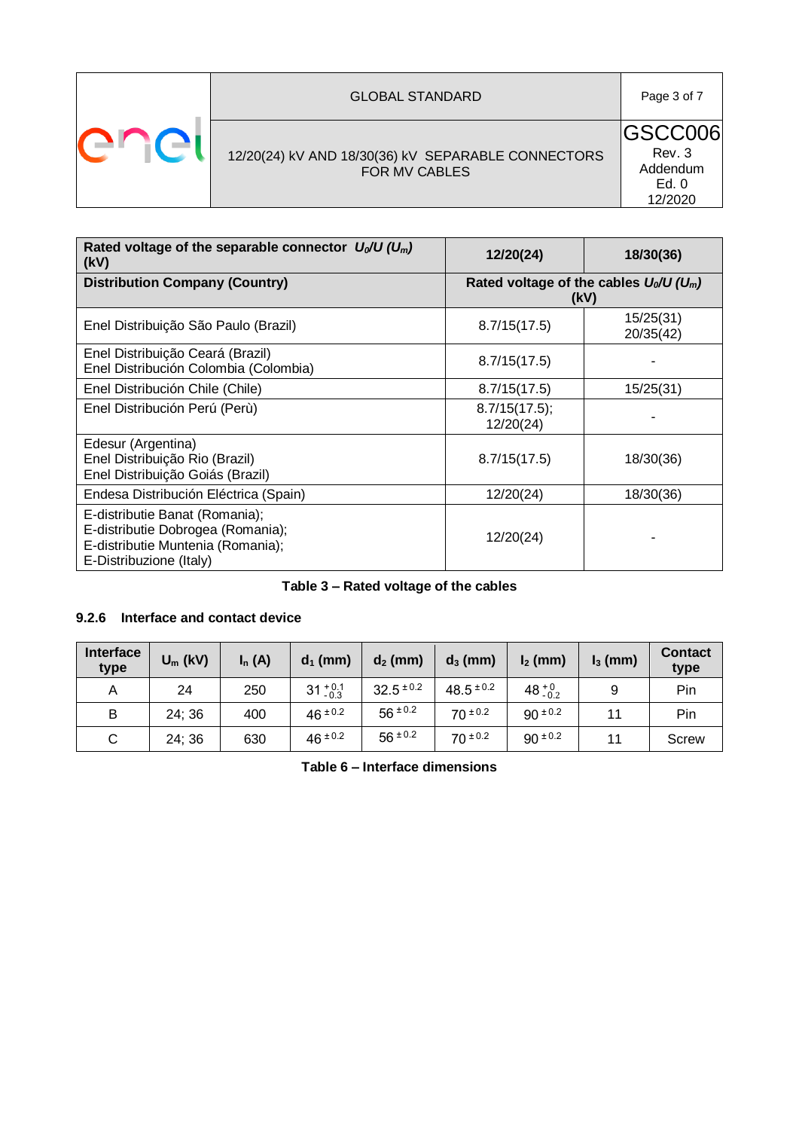|    | <b>GLOBAL STANDARD</b>                                                     | Page 3 of 7                                        |
|----|----------------------------------------------------------------------------|----------------------------------------------------|
| er | 12/20(24) kV AND 18/30(36) kV SEPARABLE CONNECTORS<br><b>FOR MV CABLES</b> | IGSCC006<br>Rev. 3<br>Addendum<br>Ed. 0<br>12/2020 |

<span id="page-2-0"></span>

| Rated voltage of the separable connector $U_0/U (U_m)$<br>(kV)                                                                      | 12/20(24)                                                     | 18/30(36)              |  |
|-------------------------------------------------------------------------------------------------------------------------------------|---------------------------------------------------------------|------------------------|--|
| <b>Distribution Company (Country)</b>                                                                                               | Rated voltage of the cables $U_0/U$ (U <sub>m</sub> )<br>(kV) |                        |  |
| Enel Distribuição São Paulo (Brazil)                                                                                                | 8.7/15(17.5)                                                  | 15/25(31)<br>20/35(42) |  |
| Enel Distribuição Ceará (Brazil)<br>Enel Distribución Colombia (Colombia)                                                           | 8.7/15(17.5)                                                  |                        |  |
| Enel Distribución Chile (Chile)                                                                                                     | 8.7/15(17.5)                                                  | 15/25(31)              |  |
| Enel Distribución Perú (Perù)                                                                                                       | 8.7/15(17.5);<br>12/20(24)                                    |                        |  |
| Edesur (Argentina)<br>Enel Distribuição Rio (Brazil)<br>Enel Distribuição Goiás (Brazil)                                            | 8.7/15(17.5)                                                  | 18/30(36)              |  |
| Endesa Distribución Eléctrica (Spain)                                                                                               | 12/20(24)                                                     | 18/30(36)              |  |
| E-distributie Banat (Romania);<br>E-distributie Dobrogea (Romania);<br>E-distributie Muntenia (Romania);<br>E-Distribuzione (Italy) | 12/20(24)                                                     |                        |  |

## **Table 3 – Rated voltage of the cables**

### **9.2.6 Interface and contact device**

| <b>Interface</b><br>type | $U_m$ (kV) | $I_n(A)$ | $d_1$ (mm)         | $d_2$ (mm)     | $d_3$ (mm)     | $I_2$ (mm)       | $I_3$ (mm) | <b>Contact</b><br>type |
|--------------------------|------------|----------|--------------------|----------------|----------------|------------------|------------|------------------------|
| Α                        | 24         | 250      | $31^{+0.1}_{-0.3}$ | $32.5 \pm 0.2$ | $48.5 \pm 0.2$ | $48^{+0}_{-0.2}$ | 9          | Pin                    |
| B                        | 24:36      | 400      | $46 \pm 0.2$       | $56 \pm 0.2$   | $70 \pm 0.2$   | $90 \pm 0.2$     |            | Pin                    |
| С                        | 24; 36     | 630      | $46 \pm 0.2$       | $56 \pm 0.2$   | $70 \pm 0.2$   | $90 \pm 0.2$     |            | Screw                  |

**Table 6 – Interface dimensions**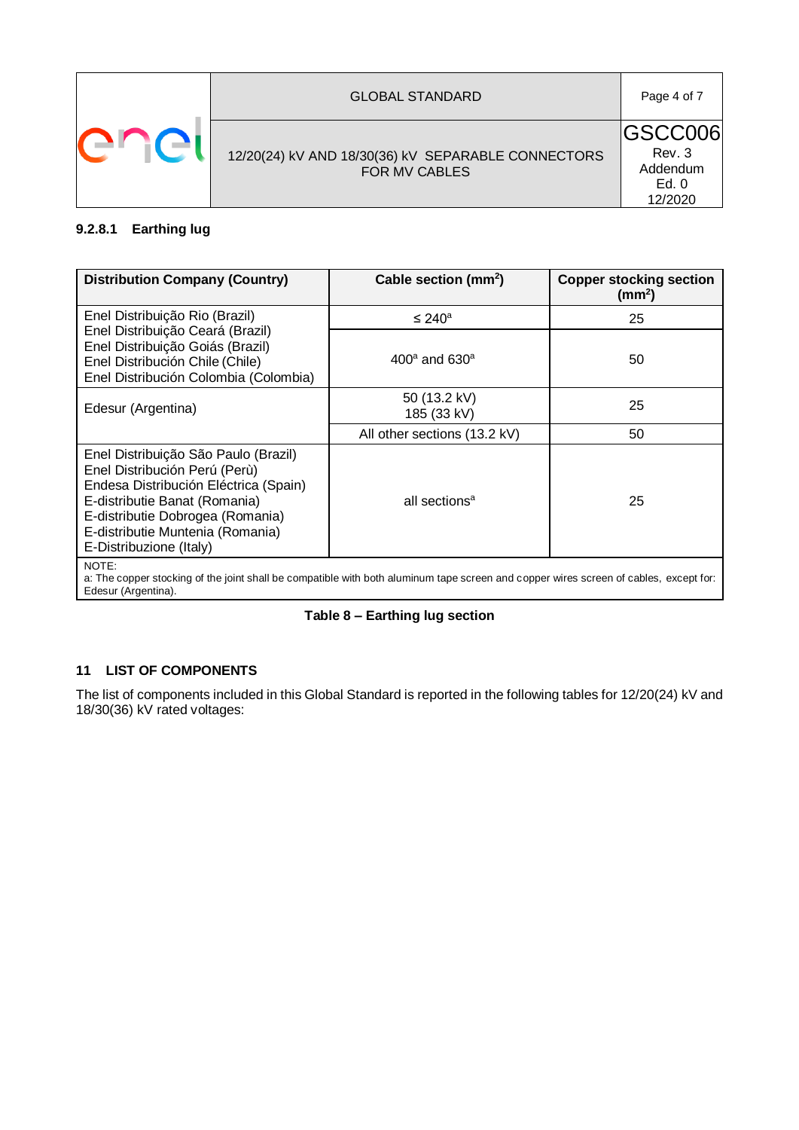

#### **9.2.8.1 Earthing lug**

| <b>Distribution Company (Country)</b>                                                                                                                                                                                                              | Cable section (mm <sup>2</sup> ) | <b>Copper stocking section</b><br>(mm <sup>2</sup> ) |  |
|----------------------------------------------------------------------------------------------------------------------------------------------------------------------------------------------------------------------------------------------------|----------------------------------|------------------------------------------------------|--|
| Enel Distribuição Rio (Brazil)                                                                                                                                                                                                                     | $\leq 240^{\circ}$               | 25                                                   |  |
| Enel Distribuição Ceará (Brazil)<br>Enel Distribuição Goiás (Brazil)<br>Enel Distribución Chile (Chile)<br>Enel Distribución Colombia (Colombia)                                                                                                   | $400^{\circ}$ and 630 $^{\circ}$ | 50                                                   |  |
| Edesur (Argentina)                                                                                                                                                                                                                                 | 50 (13.2 kV)<br>185 (33 kV)      | 25                                                   |  |
|                                                                                                                                                                                                                                                    | All other sections (13.2 kV)     | 50                                                   |  |
| Enel Distribuição São Paulo (Brazil)<br>Enel Distribución Perú (Perù)<br>Endesa Distribución Eléctrica (Spain)<br>E-distributie Banat (Romania)<br>E-distributie Dobrogea (Romania)<br>E-distributie Muntenia (Romania)<br>E-Distribuzione (Italy) | all sections <sup>a</sup>        | 25                                                   |  |
| NOTE:<br>a: The copper stocking of the joint shall be compatible with both aluminum tape screen and copper wires screen of cables, except for:<br>Edesur (Argentina).                                                                              |                                  |                                                      |  |

### **Table 8 – Earthing lug section**

### **11 LIST OF COMPONENTS**

The list of components included in this Global Standard is reported in the following tables for 12/20(24) kV and 18/30(36) kV rated voltages: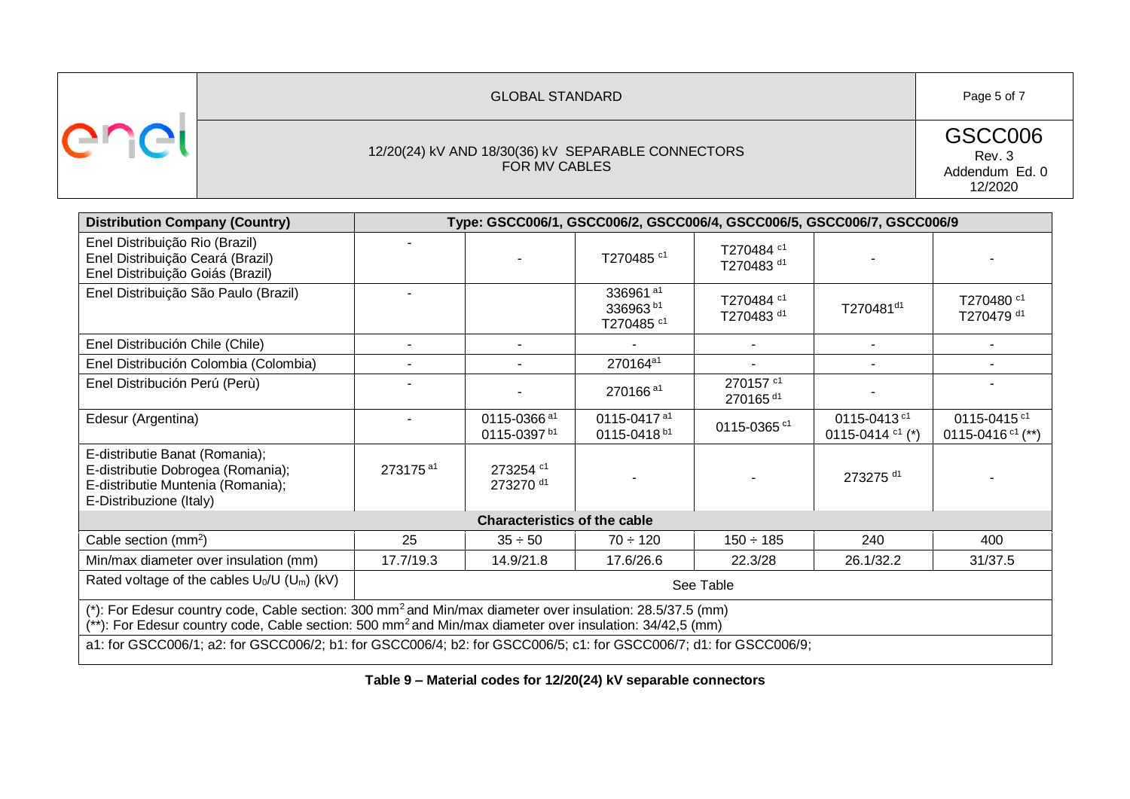|  | <b>GLOBAL STANDARD</b>                                              | Page 5 of 7                                    |
|--|---------------------------------------------------------------------|------------------------------------------------|
|  | 12/20(24) kV AND 18/30(36) kV SEPARABLE CONNECTORS<br>FOR MV CABLES | GSCC006<br>Rev. 3<br>Addendum Ed. 0<br>12/2020 |

| <b>Distribution Company (Country)</b>                                                                                                                                                                                                         |                      |                                                    |                                                                       |                                                | Type: GSCC006/1, GSCC006/2, GSCC006/4, GSCC006/5, GSCC006/7, GSCC006/9 |                                                |
|-----------------------------------------------------------------------------------------------------------------------------------------------------------------------------------------------------------------------------------------------|----------------------|----------------------------------------------------|-----------------------------------------------------------------------|------------------------------------------------|------------------------------------------------------------------------|------------------------------------------------|
| Enel Distribuição Rio (Brazil)<br>Enel Distribuição Ceará (Brazil)<br>Enel Distribuição Goiás (Brazil)                                                                                                                                        |                      |                                                    | T270485 <sup>c1</sup>                                                 | T270484 c1<br>T270483 <sup>d1</sup>            |                                                                        |                                                |
| Enel Distribuição São Paulo (Brazil)                                                                                                                                                                                                          |                      |                                                    | 336961 <sup>a1</sup><br>336963 <sup>b1</sup><br>T270485 <sup>c1</sup> | T270484 <sup>c1</sup><br>T270483 <sup>d1</sup> | T270481 <sup>d1</sup>                                                  | T270480 <sup>c1</sup><br>T270479 d1            |
| Enel Distribución Chile (Chile)                                                                                                                                                                                                               |                      |                                                    |                                                                       |                                                |                                                                        |                                                |
| Enel Distribución Colombia (Colombia)                                                                                                                                                                                                         |                      |                                                    | 270164a1                                                              |                                                |                                                                        |                                                |
| Enel Distribución Perú (Perù)                                                                                                                                                                                                                 |                      |                                                    | 270166 <sup>a1</sup>                                                  | 270157 <sup>c1</sup><br>270165 <sup>d1</sup>   |                                                                        |                                                |
| Edesur (Argentina)                                                                                                                                                                                                                            |                      | 0115-0366 <sup>a1</sup><br>0115-0397 <sup>b1</sup> | 0115-0417 <sup>a1</sup><br>0115-0418 <sup>b1</sup>                    | 0115-0365 <sup>c1</sup>                        | 0115-0413 <sup>c1</sup><br>0115-0414 $c1$ (*)                          | 0115-0415 <sup>c1</sup><br>0115-0416 $c1$ (**) |
| E-distributie Banat (Romania);<br>E-distributie Dobrogea (Romania);<br>E-distributie Muntenia (Romania);<br>E-Distribuzione (Italy)                                                                                                           | 273175 <sup>a1</sup> | 273254 c1<br>273270 d1                             |                                                                       |                                                | 273275 d1                                                              |                                                |
|                                                                                                                                                                                                                                               |                      | <b>Characteristics of the cable</b>                |                                                                       |                                                |                                                                        |                                                |
| Cable section (mm <sup>2</sup> )                                                                                                                                                                                                              | 25                   | $35 \div 50$                                       | $70 \div 120$                                                         | $150 \div 185$                                 | 240                                                                    | 400                                            |
| Min/max diameter over insulation (mm)                                                                                                                                                                                                         | 17.7/19.3            | 14.9/21.8                                          | 17.6/26.6                                                             | 22.3/28                                        | 26.1/32.2                                                              | 31/37.5                                        |
| Rated voltage of the cables $U_0/U$ (U <sub>m</sub> ) (kV)                                                                                                                                                                                    | See Table            |                                                    |                                                                       |                                                |                                                                        |                                                |
| (*): For Edesur country code, Cable section: 300 mm <sup>2</sup> and Min/max diameter over insulation: 28.5/37.5 (mm)<br>(**): For Edesur country code, Cable section: 500 mm <sup>2</sup> and Min/max diameter over insulation: 34/42,5 (mm) |                      |                                                    |                                                                       |                                                |                                                                        |                                                |
| a1: for GSCC006/1; a2: for GSCC006/2; b1: for GSCC006/4; b2: for GSCC006/5; c1: for GSCC006/7; d1: for GSCC006/9;                                                                                                                             |                      |                                                    |                                                                       |                                                |                                                                        |                                                |

<span id="page-4-0"></span>**Table 9 – Material codes for 12/20(24) kV separable connectors**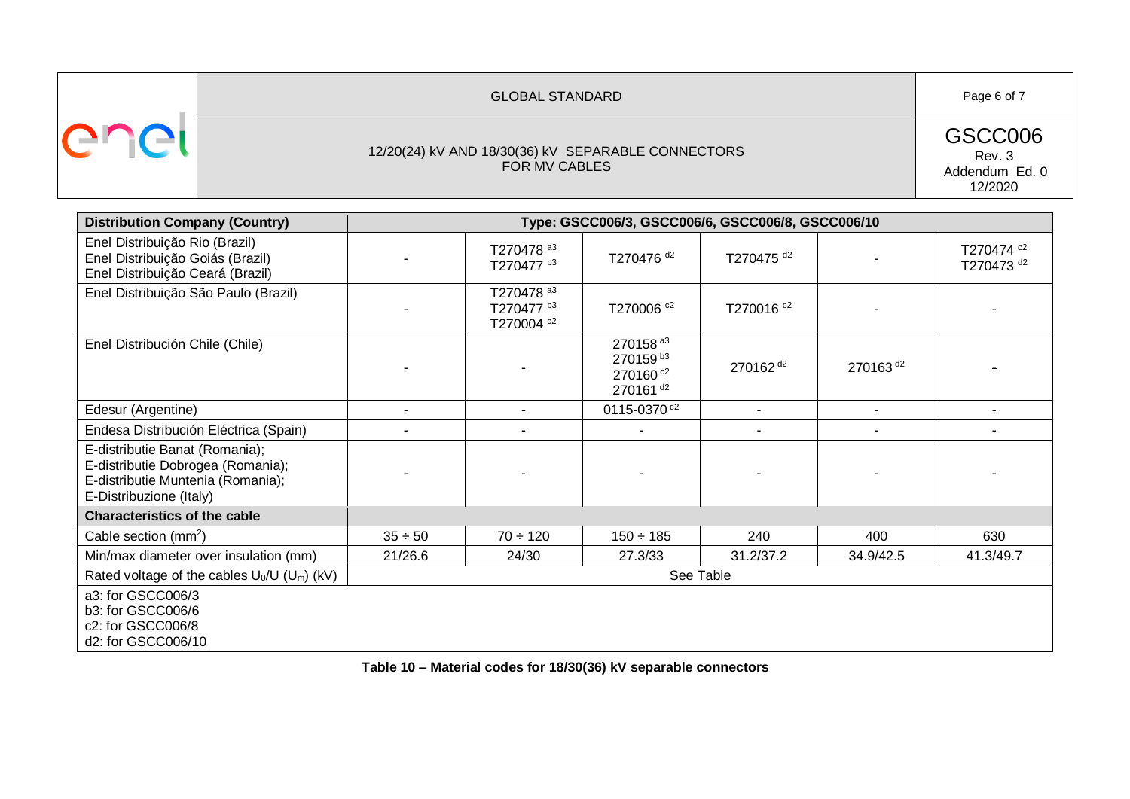| <b>GLOBAL STANDARD</b>                                              | Page 6 of 7                                    |
|---------------------------------------------------------------------|------------------------------------------------|
| 12/20(24) kV AND 18/30(36) kV SEPARABLE CONNECTORS<br>FOR MV CABLES | GSCC006<br>Rev. 3<br>Addendum Ed. 0<br>12/2020 |

| <b>Distribution Company (Country)</b>                                                                                               | Type: GSCC006/3, GSCC006/6, GSCC006/8, GSCC006/10 |                                                   |                                                                                              |                       |                      |                                     |
|-------------------------------------------------------------------------------------------------------------------------------------|---------------------------------------------------|---------------------------------------------------|----------------------------------------------------------------------------------------------|-----------------------|----------------------|-------------------------------------|
| Enel Distribuição Rio (Brazil)<br>Enel Distribuição Goiás (Brazil)<br>Enel Distribuição Ceará (Brazil)                              |                                                   | T270478 a3<br>T270477 b3                          | T270476 <sup>d2</sup>                                                                        | T270475 <sup>d2</sup> |                      | T270474 c2<br>T270473 <sup>d2</sup> |
| Enel Distribuição São Paulo (Brazil)                                                                                                |                                                   | T270478 a3<br>T270477 b3<br>T270004 <sup>c2</sup> | T270006 <sup>c2</sup>                                                                        | T270016 <sup>c2</sup> |                      |                                     |
| Enel Distribución Chile (Chile)                                                                                                     |                                                   |                                                   | 270158 <sup>a3</sup><br>270159 <sup>b3</sup><br>270160 <sup>c2</sup><br>270161 <sup>d2</sup> | 270162 <sup>d2</sup>  | 270163 <sup>d2</sup> |                                     |
| Edesur (Argentine)                                                                                                                  |                                                   | ٠                                                 | 0115-0370 <sup>c2</sup>                                                                      | $\blacksquare$        |                      |                                     |
| Endesa Distribución Eléctrica (Spain)                                                                                               |                                                   | ٠                                                 |                                                                                              |                       |                      |                                     |
| E-distributie Banat (Romania);<br>E-distributie Dobrogea (Romania);<br>E-distributie Muntenia (Romania);<br>E-Distribuzione (Italy) |                                                   |                                                   |                                                                                              |                       |                      |                                     |
| <b>Characteristics of the cable</b>                                                                                                 |                                                   |                                                   |                                                                                              |                       |                      |                                     |
| Cable section $(mm^2)$                                                                                                              | $35 \div 50$                                      | $70 \div 120$                                     | $150 \div 185$                                                                               | 240                   | 400                  | 630                                 |
| Min/max diameter over insulation (mm)                                                                                               | 21/26.6                                           | 24/30                                             | 27.3/33                                                                                      | 31.2/37.2             | 34.9/42.5            | 41.3/49.7                           |
| Rated voltage of the cables $U_0/U$ ( $U_m$ ) (kV)                                                                                  | See Table                                         |                                                   |                                                                                              |                       |                      |                                     |
| a3: for GSCC006/3<br>b3: for GSCC006/6<br>c2: for GSCC006/8<br>d2: for GSCC006/10                                                   |                                                   |                                                   |                                                                                              |                       |                      |                                     |

<span id="page-5-0"></span>**Table 10 – Material codes for 18/30(36) kV separable connectors**